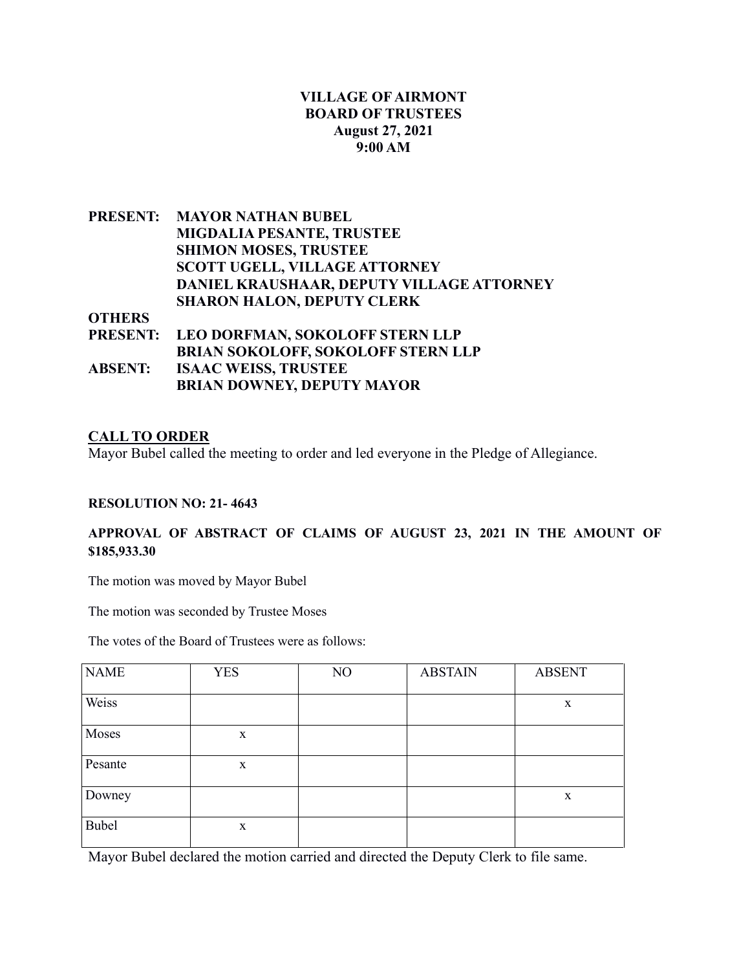# **VILLAGE OF AIRMONT BOARD OF TRUSTEES August 27, 2021 9:00 AM**

|                | PRESENT: MAYOR NATHAN BUBEL               |
|----------------|-------------------------------------------|
|                | <b>MIGDALIA PESANTE, TRUSTEE</b>          |
|                | <b>SHIMON MOSES, TRUSTEE</b>              |
|                | <b>SCOTT UGELL, VILLAGE ATTORNEY</b>      |
|                | DANIEL KRAUSHAAR, DEPUTY VILLAGE ATTORNEY |
|                | <b>SHARON HALON, DEPUTY CLERK</b>         |
| <b>OTHERS</b>  |                                           |
|                | PRESENT: LEO DORFMAN, SOKOLOFF STERN LLP  |
|                | <b>BRIAN SOKOLOFF, SOKOLOFF STERN LLP</b> |
| <b>ABSENT:</b> | <b>ISAAC WEISS, TRUSTEE</b>               |

**BRIAN DOWNEY, DEPUTY MAYOR**

### **CALL TO ORDER**

Mayor Bubel called the meeting to order and led everyone in the Pledge of Allegiance.

#### **RESOLUTION NO: 21- 4643**

## **APPROVAL OF ABSTRACT OF CLAIMS OF AUGUST 23, 2021 IN THE AMOUNT OF \$185,933.30**

The motion was moved by Mayor Bubel

The motion was seconded by Trustee Moses

The votes of the Board of Trustees were as follows:

| <b>NAME</b> | <b>YES</b>  | NO | <b>ABSTAIN</b> | <b>ABSENT</b> |
|-------------|-------------|----|----------------|---------------|
| Weiss       |             |    |                | X             |
| Moses       | $\mathbf X$ |    |                |               |
| Pesante     | $\mathbf X$ |    |                |               |
| Downey      |             |    |                | $\mathbf X$   |
| Bubel       | $\mathbf X$ |    |                |               |

Mayor Bubel declared the motion carried and directed the Deputy Clerk to file same.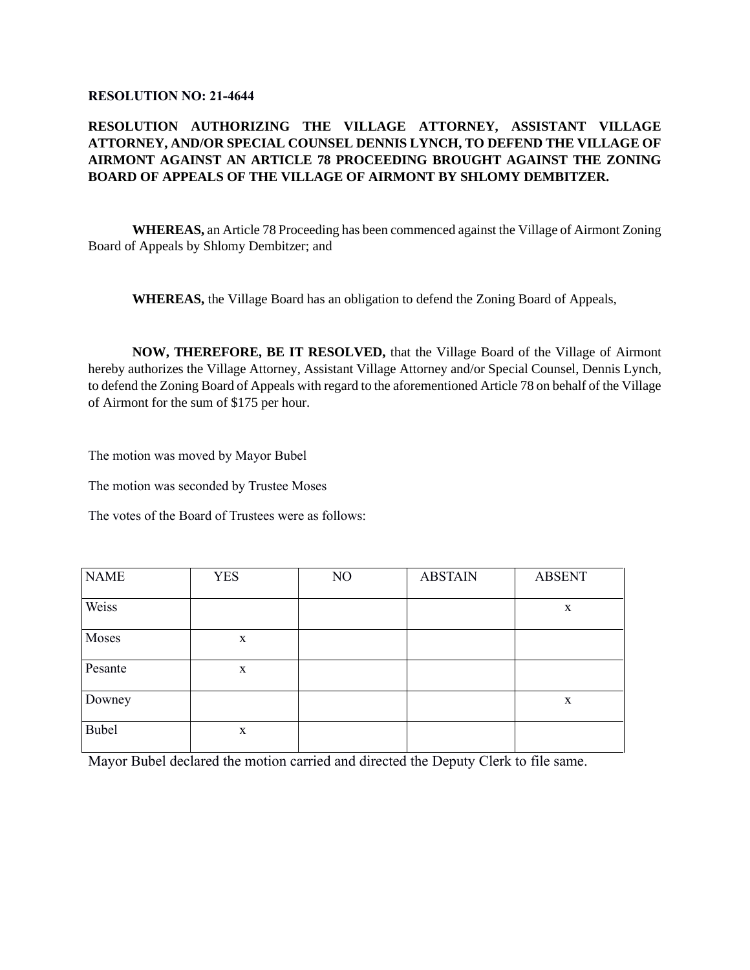#### **RESOLUTION NO: 21-4644**

## **RESOLUTION AUTHORIZING THE VILLAGE ATTORNEY, ASSISTANT VILLAGE ATTORNEY, AND/OR SPECIAL COUNSEL DENNIS LYNCH, TO DEFEND THE VILLAGE OF AIRMONT AGAINST AN ARTICLE 78 PROCEEDING BROUGHT AGAINST THE ZONING BOARD OF APPEALS OF THE VILLAGE OF AIRMONT BY SHLOMY DEMBITZER.**

**WHEREAS,** an Article 78 Proceeding has been commenced against the Village of Airmont Zoning Board of Appeals by Shlomy Dembitzer; and

**WHEREAS,** the Village Board has an obligation to defend the Zoning Board of Appeals,

**NOW, THEREFORE, BE IT RESOLVED,** that the Village Board of the Village of Airmont hereby authorizes the Village Attorney, Assistant Village Attorney and/or Special Counsel, Dennis Lynch, to defend the Zoning Board of Appeals with regard to the aforementioned Article 78 on behalf of the Village of Airmont for the sum of \$175 per hour.

The motion was moved by Mayor Bubel

The motion was seconded by Trustee Moses

The votes of the Board of Trustees were as follows:

| <b>NAME</b>  | <b>YES</b>  | NO | <b>ABSTAIN</b> | <b>ABSENT</b> |
|--------------|-------------|----|----------------|---------------|
|              |             |    |                |               |
| Weiss        |             |    |                | $\mathbf X$   |
| Moses        | $\mathbf X$ |    |                |               |
| Pesante      | $\mathbf X$ |    |                |               |
| Downey       |             |    |                | $\mathbf X$   |
| <b>Bubel</b> | $\mathbf X$ |    |                |               |

Mayor Bubel declared the motion carried and directed the Deputy Clerk to file same.